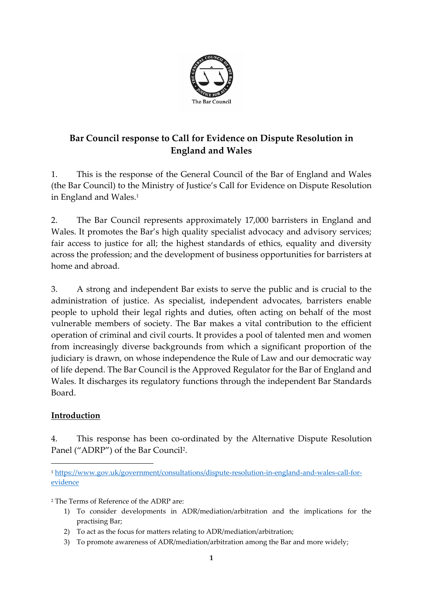

# **Bar Council response to Call for Evidence on Dispute Resolution in England and Wales**

1. This is the response of the General Council of the Bar of England and Wales (the Bar Council) to the Ministry of Justice's Call for Evidence on Dispute Resolution in England and Wales.<sup>1</sup>

2. The Bar Council represents approximately 17,000 barristers in England and Wales. It promotes the Bar's high quality specialist advocacy and advisory services; fair access to justice for all; the highest standards of ethics, equality and diversity across the profession; and the development of business opportunities for barristers at home and abroad.

3. A strong and independent Bar exists to serve the public and is crucial to the administration of justice. As specialist, independent advocates, barristers enable people to uphold their legal rights and duties, often acting on behalf of the most vulnerable members of society. The Bar makes a vital contribution to the efficient operation of criminal and civil courts. It provides a pool of talented men and women from increasingly diverse backgrounds from which a significant proportion of the judiciary is drawn, on whose independence the Rule of Law and our democratic way of life depend. The Bar Council is the Approved Regulator for the Bar of England and Wales. It discharges its regulatory functions through the independent Bar Standards Board.

### **Introduction**

4. This response has been co-ordinated by the Alternative Dispute Resolution Panel ("ADRP") of the Bar Council<sup>2</sup> .

<sup>2</sup> The Terms of Reference of the ADRP are:

- 1) To consider developments in ADR/mediation/arbitration and the implications for the practising Bar;
- 2) To act as the focus for matters relating to ADR/mediation/arbitration;
- 3) To promote awareness of ADR/mediation/arbitration among the Bar and more widely;

<sup>1</sup> [https://www.gov.uk/government/consultations/dispute-resolution-in-england-and-wales-call-for](https://www.gov.uk/government/consultations/dispute-resolution-in-england-and-wales-call-for-evidence)[evidence](https://www.gov.uk/government/consultations/dispute-resolution-in-england-and-wales-call-for-evidence)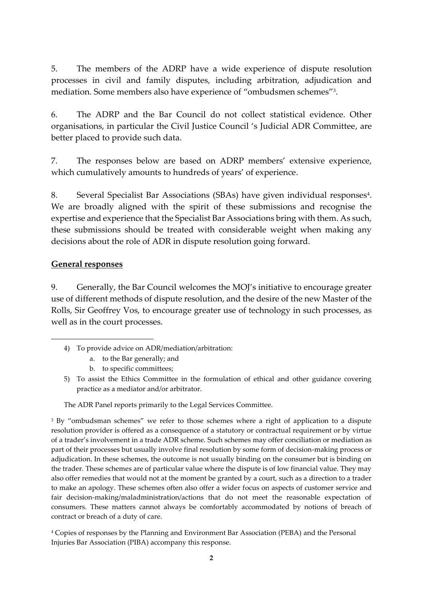5. The members of the ADRP have a wide experience of dispute resolution processes in civil and family disputes, including arbitration, adjudication and mediation. Some members also have experience of "ombudsmen schemes" 3 .

6. The ADRP and the Bar Council do not collect statistical evidence. Other organisations, in particular the Civil Justice Council 's Judicial ADR Committee, are better placed to provide such data.

7. The responses below are based on ADRP members' extensive experience, which cumulatively amounts to hundreds of years' of experience.

8. Several Specialist Bar Associations (SBAs) have given individual responses<sup>4</sup>. We are broadly aligned with the spirit of these submissions and recognise the expertise and experience that the Specialist Bar Associations bring with them. As such, these submissions should be treated with considerable weight when making any decisions about the role of ADR in dispute resolution going forward.

#### **General responses**

9. Generally, the Bar Council welcomes the MOJ's initiative to encourage greater use of different methods of dispute resolution, and the desire of the new Master of the Rolls, Sir Geoffrey Vos, to encourage greater use of technology in such processes, as well as in the court processes.

The ADR Panel reports primarily to the Legal Services Committee.

<sup>3</sup> By "ombudsman schemes" we refer to those schemes where a right of application to a dispute resolution provider is offered as a consequence of a statutory or contractual requirement or by virtue of a trader's involvement in a trade ADR scheme. Such schemes may offer conciliation or mediation as part of their processes but usually involve final resolution by some form of decision-making process or adjudication. In these schemes, the outcome is not usually binding on the consumer but is binding on the trader. These schemes are of particular value where the dispute is of low financial value. They may also offer remedies that would not at the moment be granted by a court, such as a direction to a trader to make an apology. These schemes often also offer a wider focus on aspects of customer service and fair decision-making/maladministration/actions that do not meet the reasonable expectation of consumers. These matters cannot always be comfortably accommodated by notions of breach of contract or breach of a duty of care.

<sup>4</sup> Copies of responses by the Planning and Environment Bar Association (PEBA) and the Personal Injuries Bar Association (PIBA) accompany this response.

<sup>4)</sup> To provide advice on ADR/mediation/arbitration:

a. to the Bar generally; and

b. to specific committees;

<sup>5)</sup> To assist the Ethics Committee in the formulation of ethical and other guidance covering practice as a mediator and/or arbitrator.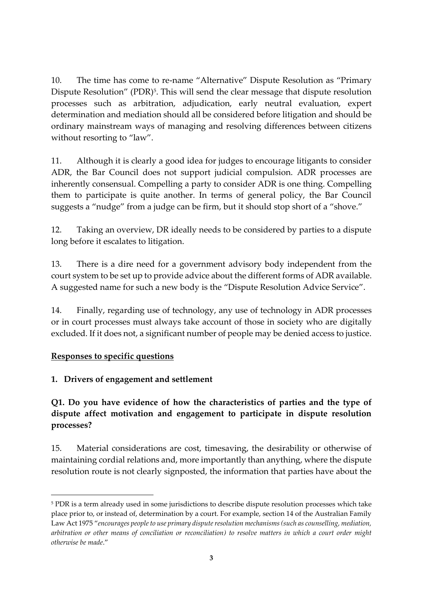10. The time has come to re-name "Alternative" Dispute Resolution as "Primary Dispute Resolution" (PDR)<sup>5</sup>. This will send the clear message that dispute resolution processes such as arbitration, adjudication, early neutral evaluation, expert determination and mediation should all be considered before litigation and should be ordinary mainstream ways of managing and resolving differences between citizens without resorting to "law".

11. Although it is clearly a good idea for judges to encourage litigants to consider ADR, the Bar Council does not support judicial compulsion. ADR processes are inherently consensual. Compelling a party to consider ADR is one thing. Compelling them to participate is quite another. In terms of general policy, the Bar Council suggests a "nudge" from a judge can be firm, but it should stop short of a "shove."

12. Taking an overview, DR ideally needs to be considered by parties to a dispute long before it escalates to litigation.

13. There is a dire need for a government advisory body independent from the court system to be set up to provide advice about the different forms of ADR available. A suggested name for such a new body is the "Dispute Resolution Advice Service".

14. Finally, regarding use of technology, any use of technology in ADR processes or in court processes must always take account of those in society who are digitally excluded. If it does not, a significant number of people may be denied access to justice.

### **Responses to specific questions**

### **1. Drivers of engagement and settlement**

# **Q1. Do you have evidence of how the characteristics of parties and the type of dispute affect motivation and engagement to participate in dispute resolution processes?**

15. Material considerations are cost, timesaving, the desirability or otherwise of maintaining cordial relations and, more importantly than anything, where the dispute resolution route is not clearly signposted, the information that parties have about the

<sup>5</sup> PDR is a term already used in some jurisdictions to describe dispute resolution processes which take place prior to, or instead of, determination by a court. For example, section 14 of the Australian Family Law Act 1975 "*encourages people to use primary dispute resolution mechanisms (such as counselling, mediation, arbitration or other means of conciliation or reconciliation) to resolve matters in which a court order might otherwise be made*."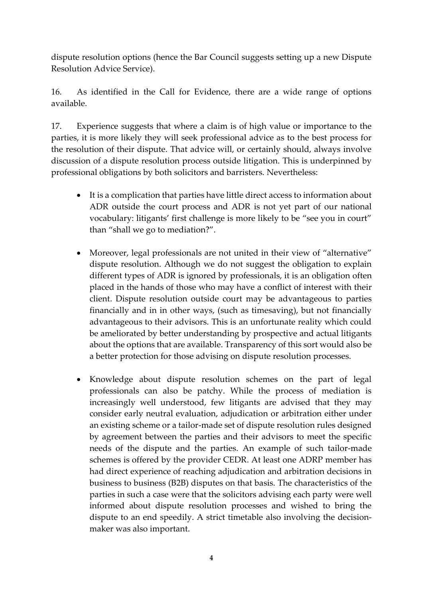dispute resolution options (hence the Bar Council suggests setting up a new Dispute Resolution Advice Service).

16. As identified in the Call for Evidence, there are a wide range of options available.

17. Experience suggests that where a claim is of high value or importance to the parties, it is more likely they will seek professional advice as to the best process for the resolution of their dispute. That advice will, or certainly should, always involve discussion of a dispute resolution process outside litigation. This is underpinned by professional obligations by both solicitors and barristers. Nevertheless:

- It is a complication that parties have little direct access to information about ADR outside the court process and ADR is not yet part of our national vocabulary: litigants' first challenge is more likely to be "see you in court" than "shall we go to mediation?".
- Moreover, legal professionals are not united in their view of "alternative" dispute resolution. Although we do not suggest the obligation to explain different types of ADR is ignored by professionals, it is an obligation often placed in the hands of those who may have a conflict of interest with their client. Dispute resolution outside court may be advantageous to parties financially and in in other ways, (such as timesaving), but not financially advantageous to their advisors. This is an unfortunate reality which could be ameliorated by better understanding by prospective and actual litigants about the options that are available. Transparency of this sort would also be a better protection for those advising on dispute resolution processes.
- Knowledge about dispute resolution schemes on the part of legal professionals can also be patchy. While the process of mediation is increasingly well understood, few litigants are advised that they may consider early neutral evaluation, adjudication or arbitration either under an existing scheme or a tailor-made set of dispute resolution rules designed by agreement between the parties and their advisors to meet the specific needs of the dispute and the parties. An example of such tailor-made schemes is offered by the provider CEDR. At least one ADRP member has had direct experience of reaching adjudication and arbitration decisions in business to business (B2B) disputes on that basis. The characteristics of the parties in such a case were that the solicitors advising each party were well informed about dispute resolution processes and wished to bring the dispute to an end speedily. A strict timetable also involving the decisionmaker was also important.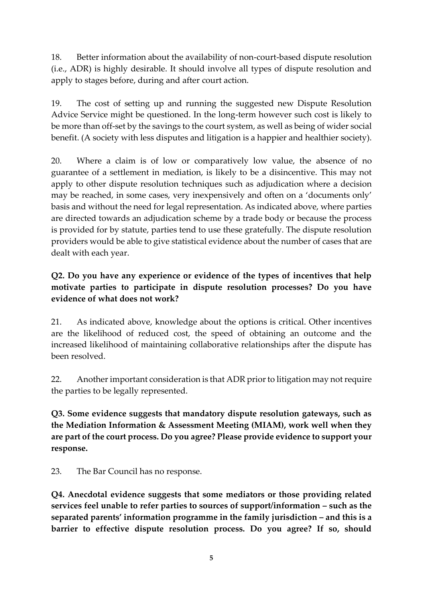18. Better information about the availability of non-court-based dispute resolution (i.e., ADR) is highly desirable. It should involve all types of dispute resolution and apply to stages before, during and after court action.

19. The cost of setting up and running the suggested new Dispute Resolution Advice Service might be questioned. In the long-term however such cost is likely to be more than off-set by the savings to the court system, as well as being of wider social benefit. (A society with less disputes and litigation is a happier and healthier society).

20. Where a claim is of low or comparatively low value, the absence of no guarantee of a settlement in mediation, is likely to be a disincentive. This may not apply to other dispute resolution techniques such as adjudication where a decision may be reached, in some cases, very inexpensively and often on a 'documents only' basis and without the need for legal representation. As indicated above, where parties are directed towards an adjudication scheme by a trade body or because the process is provided for by statute, parties tend to use these gratefully. The dispute resolution providers would be able to give statistical evidence about the number of cases that are dealt with each year.

# **Q2. Do you have any experience or evidence of the types of incentives that help motivate parties to participate in dispute resolution processes? Do you have evidence of what does not work?**

21. As indicated above, knowledge about the options is critical. Other incentives are the likelihood of reduced cost, the speed of obtaining an outcome and the increased likelihood of maintaining collaborative relationships after the dispute has been resolved.

22. Another important consideration is that ADR prior to litigation may not require the parties to be legally represented.

**Q3. Some evidence suggests that mandatory dispute resolution gateways, such as the Mediation Information & Assessment Meeting (MIAM), work well when they are part of the court process. Do you agree? Please provide evidence to support your response.** 

23. The Bar Council has no response.

**Q4. Anecdotal evidence suggests that some mediators or those providing related services feel unable to refer parties to sources of support/information – such as the separated parents' information programme in the family jurisdiction – and this is a barrier to effective dispute resolution process. Do you agree? If so, should**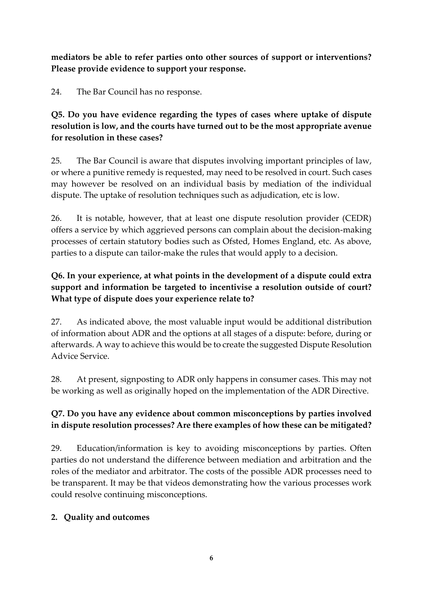**mediators be able to refer parties onto other sources of support or interventions? Please provide evidence to support your response.** 

24. The Bar Council has no response.

**Q5. Do you have evidence regarding the types of cases where uptake of dispute resolution is low, and the courts have turned out to be the most appropriate avenue for resolution in these cases?** 

25. The Bar Council is aware that disputes involving important principles of law, or where a punitive remedy is requested, may need to be resolved in court. Such cases may however be resolved on an individual basis by mediation of the individual dispute. The uptake of resolution techniques such as adjudication, etc is low.

26. It is notable, however, that at least one dispute resolution provider (CEDR) offers a service by which aggrieved persons can complain about the decision-making processes of certain statutory bodies such as Ofsted, Homes England, etc. As above, parties to a dispute can tailor-make the rules that would apply to a decision.

# **Q6. In your experience, at what points in the development of a dispute could extra support and information be targeted to incentivise a resolution outside of court? What type of dispute does your experience relate to?**

27. As indicated above, the most valuable input would be additional distribution of information about ADR and the options at all stages of a dispute: before, during or afterwards. A way to achieve this would be to create the suggested Dispute Resolution Advice Service.

28. At present, signposting to ADR only happens in consumer cases. This may not be working as well as originally hoped on the implementation of the ADR Directive.

# **Q7. Do you have any evidence about common misconceptions by parties involved in dispute resolution processes? Are there examples of how these can be mitigated?**

29. Education/information is key to avoiding misconceptions by parties. Often parties do not understand the difference between mediation and arbitration and the roles of the mediator and arbitrator. The costs of the possible ADR processes need to be transparent. It may be that videos demonstrating how the various processes work could resolve continuing misconceptions.

# **2. Quality and outcomes**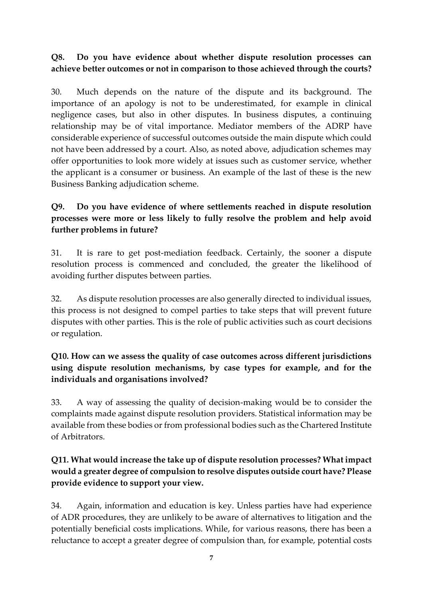#### **Q8. Do you have evidence about whether dispute resolution processes can achieve better outcomes or not in comparison to those achieved through the courts?**

30. Much depends on the nature of the dispute and its background. The importance of an apology is not to be underestimated, for example in clinical negligence cases, but also in other disputes. In business disputes, a continuing relationship may be of vital importance. Mediator members of the ADRP have considerable experience of successful outcomes outside the main dispute which could not have been addressed by a court. Also, as noted above, adjudication schemes may offer opportunities to look more widely at issues such as customer service, whether the applicant is a consumer or business. An example of the last of these is the new Business Banking adjudication scheme.

### **Q9. Do you have evidence of where settlements reached in dispute resolution processes were more or less likely to fully resolve the problem and help avoid further problems in future?**

31. It is rare to get post-mediation feedback. Certainly, the sooner a dispute resolution process is commenced and concluded, the greater the likelihood of avoiding further disputes between parties.

32. As dispute resolution processes are also generally directed to individual issues, this process is not designed to compel parties to take steps that will prevent future disputes with other parties. This is the role of public activities such as court decisions or regulation.

### **Q10. How can we assess the quality of case outcomes across different jurisdictions using dispute resolution mechanisms, by case types for example, and for the individuals and organisations involved?**

33. A way of assessing the quality of decision-making would be to consider the complaints made against dispute resolution providers. Statistical information may be available from these bodies or from professional bodies such as the Chartered Institute of Arbitrators.

### **Q11. What would increase the take up of dispute resolution processes? What impact would a greater degree of compulsion to resolve disputes outside court have? Please provide evidence to support your view.**

34. Again, information and education is key. Unless parties have had experience of ADR procedures, they are unlikely to be aware of alternatives to litigation and the potentially beneficial costs implications. While, for various reasons, there has been a reluctance to accept a greater degree of compulsion than, for example, potential costs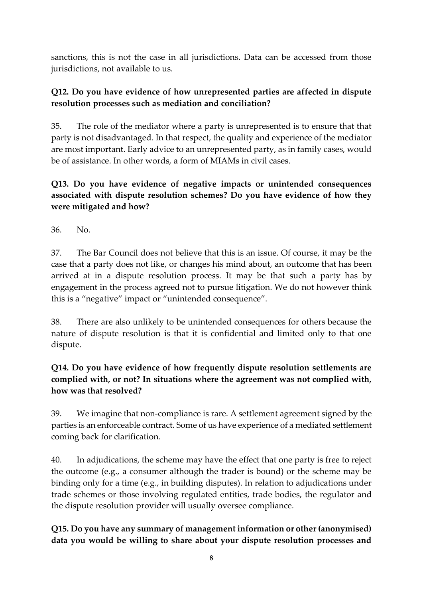sanctions, this is not the case in all jurisdictions. Data can be accessed from those jurisdictions, not available to us.

### **Q12. Do you have evidence of how unrepresented parties are affected in dispute resolution processes such as mediation and conciliation?**

35. The role of the mediator where a party is unrepresented is to ensure that that party is not disadvantaged. In that respect, the quality and experience of the mediator are most important. Early advice to an unrepresented party, as in family cases, would be of assistance. In other words, a form of MIAMs in civil cases.

# **Q13. Do you have evidence of negative impacts or unintended consequences associated with dispute resolution schemes? Do you have evidence of how they were mitigated and how?**

36. No.

37. The Bar Council does not believe that this is an issue. Of course, it may be the case that a party does not like, or changes his mind about, an outcome that has been arrived at in a dispute resolution process. It may be that such a party has by engagement in the process agreed not to pursue litigation. We do not however think this is a "negative" impact or "unintended consequence".

38. There are also unlikely to be unintended consequences for others because the nature of dispute resolution is that it is confidential and limited only to that one dispute.

# **Q14. Do you have evidence of how frequently dispute resolution settlements are complied with, or not? In situations where the agreement was not complied with, how was that resolved?**

39. We imagine that non-compliance is rare. A settlement agreement signed by the parties is an enforceable contract. Some of us have experience of a mediated settlement coming back for clarification.

40. In adjudications, the scheme may have the effect that one party is free to reject the outcome (e.g., a consumer although the trader is bound) or the scheme may be binding only for a time (e.g., in building disputes). In relation to adjudications under trade schemes or those involving regulated entities, trade bodies, the regulator and the dispute resolution provider will usually oversee compliance.

# **Q15. Do you have any summary of management information or other (anonymised) data you would be willing to share about your dispute resolution processes and**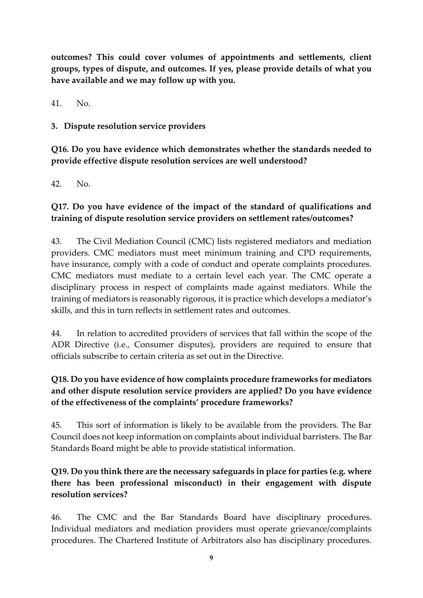**outcomes? This could cover volumes of appointments and settlements, client groups, types of dispute, and outcomes. If yes, please provide details of what you have available and we may follow up with you.** 

41. No.

**3. Dispute resolution service providers** 

**Q16. Do you have evidence which demonstrates whether the standards needed to provide effective dispute resolution services are well understood?** 

42. No.

### **Q17. Do you have evidence of the impact of the standard of qualifications and training of dispute resolution service providers on settlement rates/outcomes?**

43. The Civil Mediation Council (CMC) lists registered mediators and mediation providers. CMC mediators must meet minimum training and CPD requirements, have insurance, comply with a code of conduct and operate complaints procedures. CMC mediators must mediate to a certain level each year. The CMC operate a disciplinary process in respect of complaints made against mediators. While the training of mediators is reasonably rigorous, it is practice which develops a mediator's skills, and this in turn reflects in settlement rates and outcomes.

44. In relation to accredited providers of services that fall within the scope of the ADR Directive (i.e., Consumer disputes), providers are required to ensure that officials subscribe to certain criteria as set out in the Directive.

# **Q18. Do you have evidence of how complaints procedure frameworks for mediators and other dispute resolution service providers are applied? Do you have evidence of the effectiveness of the complaints' procedure frameworks?**

45. This sort of information is likely to be available from the providers. The Bar Council does not keep information on complaints about individual barristers. The Bar Standards Board might be able to provide statistical information.

# **Q19. Do you think there are the necessary safeguards in place for parties (e.g. where there has been professional misconduct) in their engagement with dispute resolution services?**

46. The CMC and the Bar Standards Board have disciplinary procedures. Individual mediators and mediation providers must operate grievance/complaints procedures. The Chartered Institute of Arbitrators also has disciplinary procedures.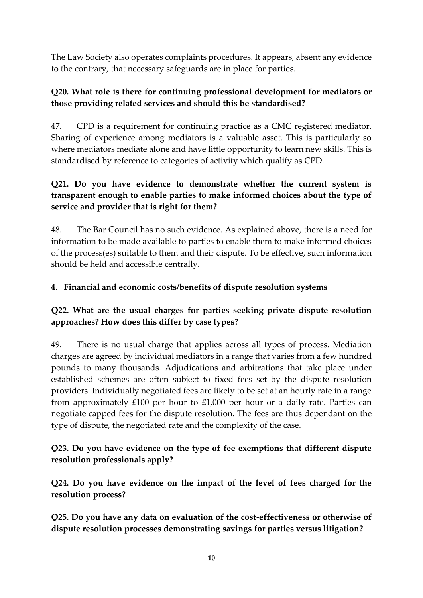The Law Society also operates complaints procedures. It appears, absent any evidence to the contrary, that necessary safeguards are in place for parties.

### **Q20. What role is there for continuing professional development for mediators or those providing related services and should this be standardised?**

47. CPD is a requirement for continuing practice as a CMC registered mediator. Sharing of experience among mediators is a valuable asset. This is particularly so where mediators mediate alone and have little opportunity to learn new skills. This is standardised by reference to categories of activity which qualify as CPD.

# **Q21. Do you have evidence to demonstrate whether the current system is transparent enough to enable parties to make informed choices about the type of service and provider that is right for them?**

48. The Bar Council has no such evidence. As explained above, there is a need for information to be made available to parties to enable them to make informed choices of the process(es) suitable to them and their dispute. To be effective, such information should be held and accessible centrally.

### **4. Financial and economic costs/benefits of dispute resolution systems**

### **Q22. What are the usual charges for parties seeking private dispute resolution approaches? How does this differ by case types?**

49. There is no usual charge that applies across all types of process. Mediation charges are agreed by individual mediators in a range that varies from a few hundred pounds to many thousands. Adjudications and arbitrations that take place under established schemes are often subject to fixed fees set by the dispute resolution providers. Individually negotiated fees are likely to be set at an hourly rate in a range from approximately £100 per hour to £1,000 per hour or a daily rate. Parties can negotiate capped fees for the dispute resolution. The fees are thus dependant on the type of dispute, the negotiated rate and the complexity of the case.

### **Q23. Do you have evidence on the type of fee exemptions that different dispute resolution professionals apply?**

**Q24. Do you have evidence on the impact of the level of fees charged for the resolution process?** 

**Q25. Do you have any data on evaluation of the cost-effectiveness or otherwise of dispute resolution processes demonstrating savings for parties versus litigation?**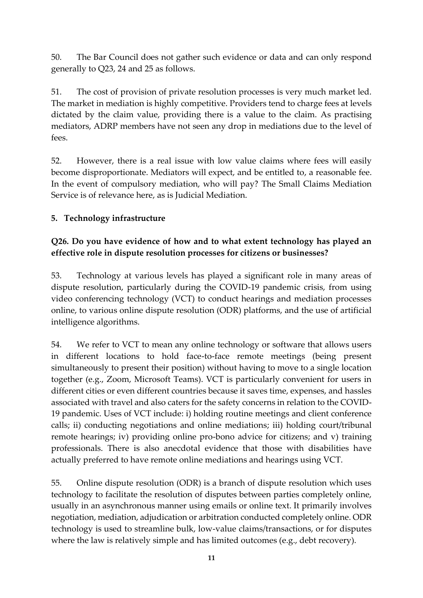50. The Bar Council does not gather such evidence or data and can only respond generally to Q23, 24 and 25 as follows.

51. The cost of provision of private resolution processes is very much market led. The market in mediation is highly competitive. Providers tend to charge fees at levels dictated by the claim value, providing there is a value to the claim. As practising mediators, ADRP members have not seen any drop in mediations due to the level of fees.

52. However, there is a real issue with low value claims where fees will easily become disproportionate. Mediators will expect, and be entitled to, a reasonable fee. In the event of compulsory mediation, who will pay? The Small Claims Mediation Service is of relevance here, as is Judicial Mediation.

### **5. Technology infrastructure**

### **Q26. Do you have evidence of how and to what extent technology has played an effective role in dispute resolution processes for citizens or businesses?**

53. Technology at various levels has played a significant role in many areas of dispute resolution, particularly during the COVID-19 pandemic crisis, from using video conferencing technology (VCT) to conduct hearings and mediation processes online, to various online dispute resolution (ODR) platforms, and the use of artificial intelligence algorithms.

54. We refer to VCT to mean any online technology or software that allows users in different locations to hold face-to-face remote meetings (being present simultaneously to present their position) without having to move to a single location together (e.g., Zoom, Microsoft Teams). VCT is particularly convenient for users in different cities or even different countries because it saves time, expenses, and hassles associated with travel and also caters for the safety concerns in relation to the COVID-19 pandemic. Uses of VCT include: i) holding routine meetings and client conference calls; ii) conducting negotiations and online mediations; iii) holding court/tribunal remote hearings; iv) providing online pro-bono advice for citizens; and v) training professionals. There is also anecdotal evidence that those with disabilities have actually preferred to have remote online mediations and hearings using VCT.

55. Online dispute resolution (ODR) is a branch of dispute resolution which uses technology to facilitate the resolution of disputes between parties completely online, usually in an asynchronous manner using emails or online text. It primarily involves negotiation, mediation, adjudication or arbitration conducted completely online. ODR technology is used to streamline bulk, low-value claims/transactions, or for disputes where the law is relatively simple and has limited outcomes (e.g., debt recovery).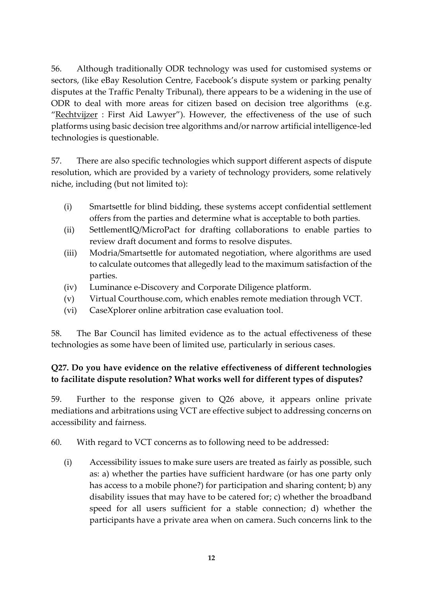56. Although traditionally ODR technology was used for customised systems or sectors, (like eBay Resolution Centre, Facebook's dispute system or parking penalty disputes at the Traffic Penalty Tribunal), there appears to be a widening in the use of ODR to deal with more areas for citizen based on decision tree algorithms (e.g. "[Rechtvijzer](https://rechtwijzer.nl/werk) : First Aid Lawyer"). However, the effectiveness of the use of such platforms using basic decision tree algorithms and/or narrow artificial intelligence-led technologies is questionable.

57. There are also specific technologies which support different aspects of dispute resolution, which are provided by a variety of technology providers, some relatively niche, including (but not limited to):

- (i) Smartsettle for blind bidding, these systems accept confidential settlement offers from the parties and determine what is acceptable to both parties.
- (ii) SettlementIQ/MicroPact for drafting collaborations to enable parties to review draft document and forms to resolve disputes.
- (iii) Modria/Smartsettle for automated negotiation, where algorithms are used to calculate outcomes that allegedly lead to the maximum satisfaction of the parties.
- (iv) Luminance e-Discovery and Corporate Diligence platform.
- (v) Virtual Courthouse.com, which enables remote mediation through VCT.
- (vi) CaseXplorer online arbitration case evaluation tool.

58. The Bar Council has limited evidence as to the actual effectiveness of these technologies as some have been of limited use, particularly in serious cases.

### **Q27. Do you have evidence on the relative effectiveness of different technologies to facilitate dispute resolution? What works well for different types of disputes?**

59. Further to the response given to Q26 above, it appears online private mediations and arbitrations using VCT are effective subject to addressing concerns on accessibility and fairness.

60. With regard to VCT concerns as to following need to be addressed:

(i) Accessibility issues to make sure users are treated as fairly as possible, such as: a) whether the parties have sufficient hardware (or has one party only has access to a mobile phone?) for participation and sharing content; b) any disability issues that may have to be catered for; c) whether the broadband speed for all users sufficient for a stable connection; d) whether the participants have a private area when on camera. Such concerns link to the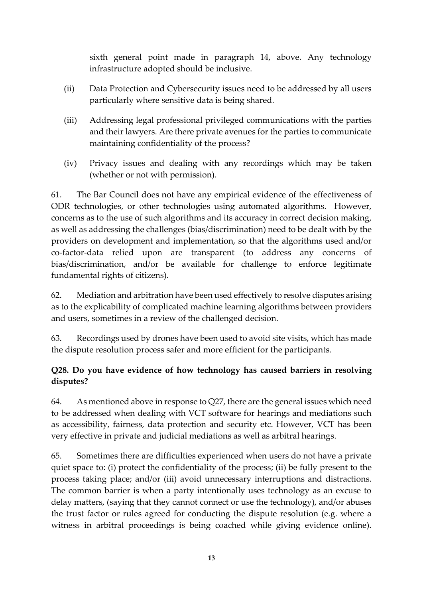sixth general point made in paragraph 14, above. Any technology infrastructure adopted should be inclusive.

- (ii) Data Protection and Cybersecurity issues need to be addressed by all users particularly where sensitive data is being shared.
- (iii) Addressing legal professional privileged communications with the parties and their lawyers. Are there private avenues for the parties to communicate maintaining confidentiality of the process?
- (iv) Privacy issues and dealing with any recordings which may be taken (whether or not with permission).

61. The Bar Council does not have any empirical evidence of the effectiveness of ODR technologies, or other technologies using automated algorithms. However, concerns as to the use of such algorithms and its accuracy in correct decision making, as well as addressing the challenges (bias/discrimination) need to be dealt with by the providers on development and implementation, so that the algorithms used and/or co-factor-data relied upon are transparent (to address any concerns of bias/discrimination, and/or be available for challenge to enforce legitimate fundamental rights of citizens).

62. Mediation and arbitration have been used effectively to resolve disputes arising as to the explicability of complicated machine learning algorithms between providers and users, sometimes in a review of the challenged decision.

63. Recordings used by drones have been used to avoid site visits, which has made the dispute resolution process safer and more efficient for the participants.

# **Q28. Do you have evidence of how technology has caused barriers in resolving disputes?**

64. As mentioned above in response to Q27, there are the general issues which need to be addressed when dealing with VCT software for hearings and mediations such as accessibility, fairness, data protection and security etc. However, VCT has been very effective in private and judicial mediations as well as arbitral hearings.

65. Sometimes there are difficulties experienced when users do not have a private quiet space to: (i) protect the confidentiality of the process; (ii) be fully present to the process taking place; and/or (iii) avoid unnecessary interruptions and distractions. The common barrier is when a party intentionally uses technology as an excuse to delay matters, (saying that they cannot connect or use the technology), and/or abuses the trust factor or rules agreed for conducting the dispute resolution (e.g. where a witness in arbitral proceedings is being coached while giving evidence online).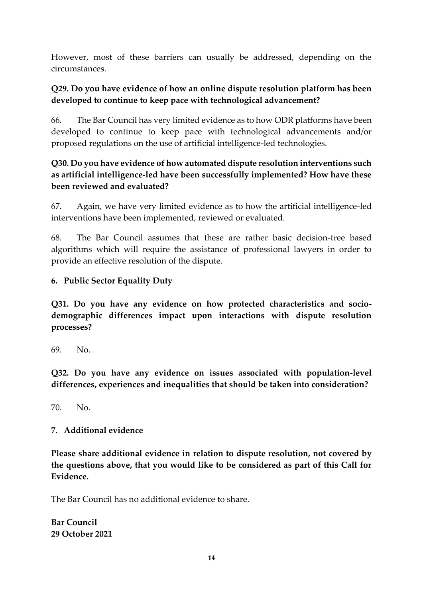However, most of these barriers can usually be addressed, depending on the circumstances.

### **Q29. Do you have evidence of how an online dispute resolution platform has been developed to continue to keep pace with technological advancement?**

66. The Bar Council has very limited evidence as to how ODR platforms have been developed to continue to keep pace with technological advancements and/or proposed regulations on the use of artificial intelligence-led technologies.

# **Q30. Do you have evidence of how automated dispute resolution interventions such as artificial intelligence-led have been successfully implemented? How have these been reviewed and evaluated?**

67. Again, we have very limited evidence as to how the artificial intelligence-led interventions have been implemented, reviewed or evaluated.

68. The Bar Council assumes that these are rather basic decision-tree based algorithms which will require the assistance of professional lawyers in order to provide an effective resolution of the dispute.

### **6. Public Sector Equality Duty**

**Q31. Do you have any evidence on how protected characteristics and sociodemographic differences impact upon interactions with dispute resolution processes?** 

69. No.

**Q32. Do you have any evidence on issues associated with population-level differences, experiences and inequalities that should be taken into consideration?** 

70. No.

#### **7. Additional evidence**

**Please share additional evidence in relation to dispute resolution, not covered by the questions above, that you would like to be considered as part of this Call for Evidence.**

The Bar Council has no additional evidence to share.

**Bar Council 29 October 2021**